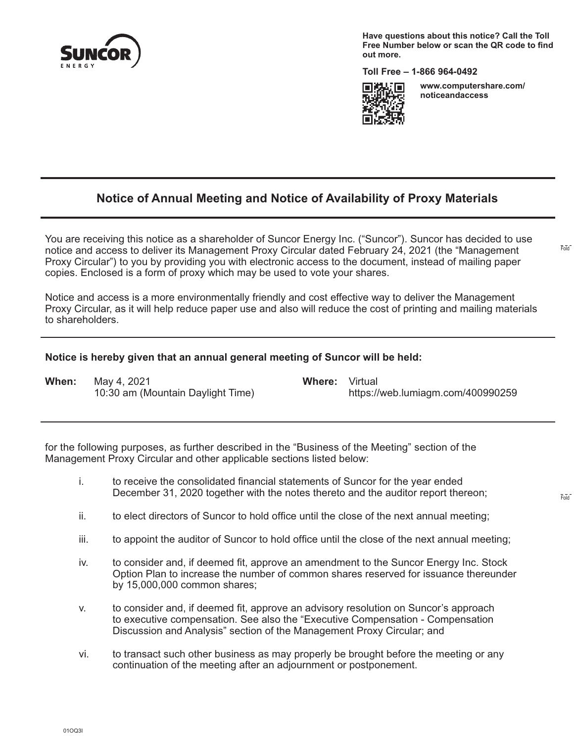

**Have questions about this notice? Call the Toll Free Number below or scan the QR code to find out more.**

**Toll Free – 1-866 964-0492**



**www.computershare.com/ noticeandaccess** 

Fold

Fold

# **Notice of Annual Meeting and Notice of Availability of Proxy Materials**

You are receiving this notice as a shareholder of Suncor Energy Inc. ("Suncor"). Suncor has decided to use notice and access to deliver its Management Proxy Circular dated February 24, 2021 (the "Management Proxy Circular") to you by providing you with electronic access to the document, instead of mailing paper copies. Enclosed is a form of proxy which may be used to vote your shares.

Notice and access is a more environmentally friendly and cost effective way to deliver the Management Proxy Circular, as it will help reduce paper use and also will reduce the cost of printing and mailing materials to shareholders.

#### **Notice is hereby given that an annual general meeting of Suncor will be held:**

**When:** May 4, 2021 **Where:** Virtual 10:30 am (Mountain Daylight Time) https://web.lumiagm.com/400990259

for the following purposes, as further described in the "Business of the Meeting" section of the Management Proxy Circular and other applicable sections listed below:

- i. to receive the consolidated financial statements of Suncor for the year ended December 31, 2020 together with the notes thereto and the auditor report thereon;
- ii. to elect directors of Suncor to hold office until the close of the next annual meeting;
- iii. to appoint the auditor of Suncor to hold office until the close of the next annual meeting;
- iv. to consider and, if deemed fit, approve an amendment to the Suncor Energy Inc. Stock Option Plan to increase the number of common shares reserved for issuance thereunder by 15,000,000 common shares;
- v. to consider and, if deemed fit, approve an advisory resolution on Suncor's approach to executive compensation. See also the "Executive Compensation - Compensation Discussion and Analysis" section of the Management Proxy Circular; and
- vi. to transact such other business as may properly be brought before the meeting or any continuation of the meeting after an adjournment or postponement.

01OQ3I